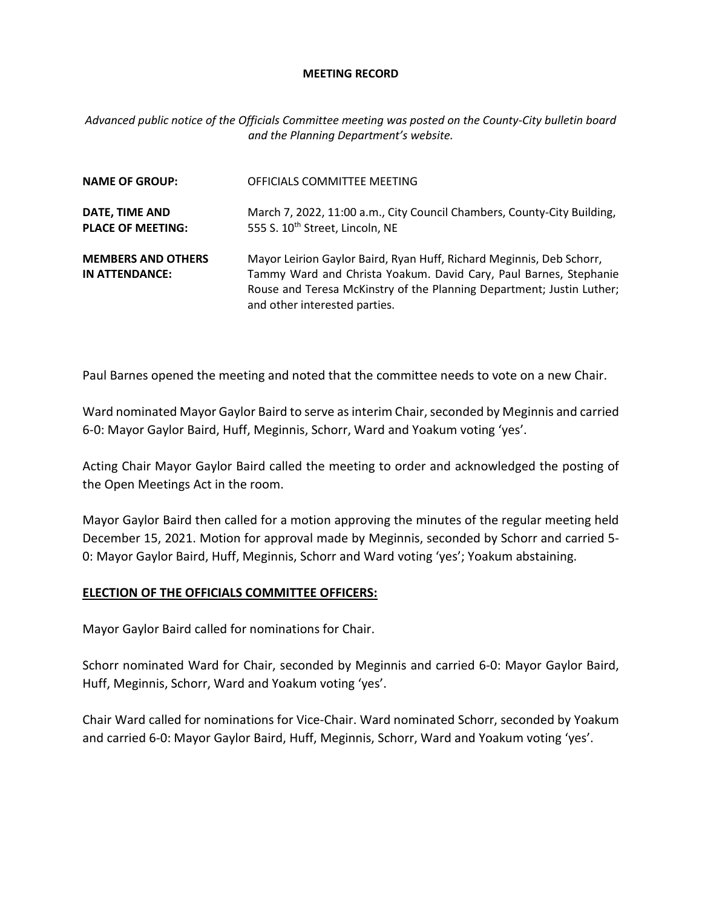#### **MEETING RECORD**

*Advanced public notice of the Officials Committee meeting was posted on the County-City bulletin board and the Planning Department's website.*

| <b>NAME OF GROUP:</b>                       | OFFICIALS COMMITTEE MEETING                                                                                                                                                                                                                         |
|---------------------------------------------|-----------------------------------------------------------------------------------------------------------------------------------------------------------------------------------------------------------------------------------------------------|
| DATE, TIME AND<br><b>PLACE OF MEETING:</b>  | March 7, 2022, 11:00 a.m., City Council Chambers, County-City Building,<br>555 S. 10 <sup>th</sup> Street, Lincoln, NE                                                                                                                              |
| <b>MEMBERS AND OTHERS</b><br>IN ATTENDANCE: | Mayor Leirion Gaylor Baird, Ryan Huff, Richard Meginnis, Deb Schorr,<br>Tammy Ward and Christa Yoakum. David Cary, Paul Barnes, Stephanie<br>Rouse and Teresa McKinstry of the Planning Department; Justin Luther;<br>and other interested parties. |

Paul Barnes opened the meeting and noted that the committee needs to vote on a new Chair.

Ward nominated Mayor Gaylor Baird to serve as interim Chair, seconded by Meginnis and carried 6-0: Mayor Gaylor Baird, Huff, Meginnis, Schorr, Ward and Yoakum voting 'yes'.

Acting Chair Mayor Gaylor Baird called the meeting to order and acknowledged the posting of the Open Meetings Act in the room.

Mayor Gaylor Baird then called for a motion approving the minutes of the regular meeting held December 15, 2021. Motion for approval made by Meginnis, seconded by Schorr and carried 5- 0: Mayor Gaylor Baird, Huff, Meginnis, Schorr and Ward voting 'yes'; Yoakum abstaining.

### **ELECTION OF THE OFFICIALS COMMITTEE OFFICERS:**

Mayor Gaylor Baird called for nominations for Chair.

Schorr nominated Ward for Chair, seconded by Meginnis and carried 6-0: Mayor Gaylor Baird, Huff, Meginnis, Schorr, Ward and Yoakum voting 'yes'.

Chair Ward called for nominations for Vice-Chair. Ward nominated Schorr, seconded by Yoakum and carried 6-0: Mayor Gaylor Baird, Huff, Meginnis, Schorr, Ward and Yoakum voting 'yes'.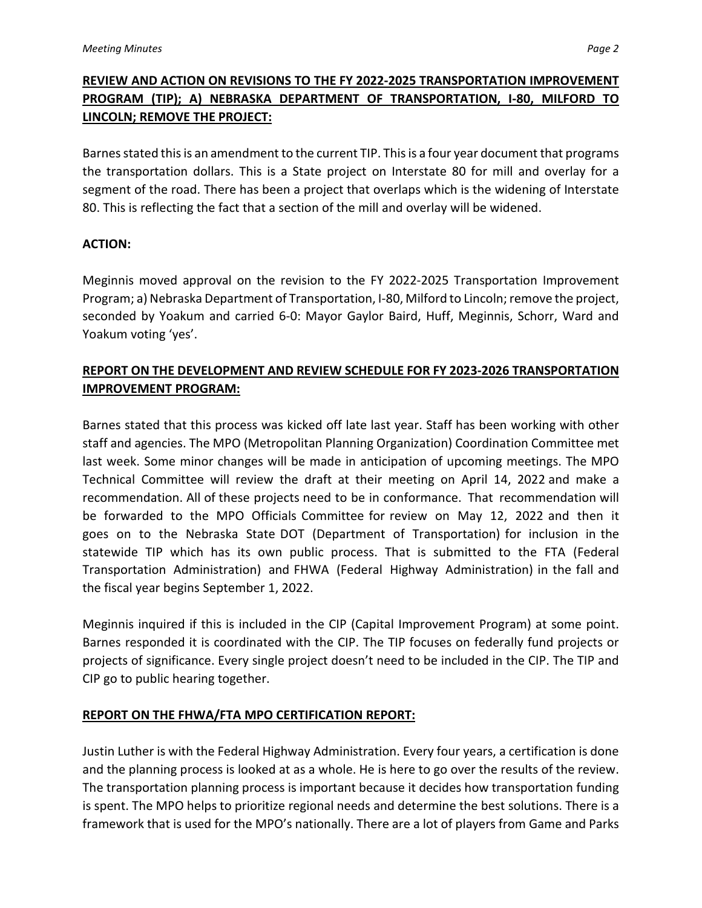# **REVIEW AND ACTION ON REVISIONS TO THE FY 2022-2025 TRANSPORTATION IMPROVEMENT PROGRAM (TIP); A) NEBRASKA DEPARTMENT OF TRANSPORTATION, I-80, MILFORD TO LINCOLN; REMOVE THE PROJECT:**

Barnes stated this is an amendment to the current TIP. This is a four year document that programs the transportation dollars. This is a State project on Interstate 80 for mill and overlay for a segment of the road. There has been a project that overlaps which is the widening of Interstate 80. This is reflecting the fact that a section of the mill and overlay will be widened.

### **ACTION:**

Meginnis moved approval on the revision to the FY 2022-2025 Transportation Improvement Program; a) Nebraska Department of Transportation, I-80, Milford to Lincoln; remove the project, seconded by Yoakum and carried 6-0: Mayor Gaylor Baird, Huff, Meginnis, Schorr, Ward and Yoakum voting 'yes'.

# **REPORT ON THE DEVELOPMENT AND REVIEW SCHEDULE FOR FY 2023-2026 TRANSPORTATION IMPROVEMENT PROGRAM:**

Barnes stated that this process was kicked off late last year. Staff has been working with other staff and agencies. The MPO (Metropolitan Planning Organization) Coordination Committee met last week. Some minor changes will be made in anticipation of upcoming meetings. The MPO Technical Committee will review the draft at their meeting on April 14, 2022 and make a recommendation. All of these projects need to be in conformance. That recommendation will be forwarded to the MPO Officials Committee for review on May 12, 2022 and then it goes on to the Nebraska State DOT (Department of Transportation) for inclusion in the statewide TIP which has its own public process. That is submitted to the FTA (Federal Transportation Administration) and FHWA (Federal Highway Administration) in the fall and the fiscal year begins September 1, 2022.

Meginnis inquired if this is included in the CIP (Capital Improvement Program) at some point. Barnes responded it is coordinated with the CIP. The TIP focuses on federally fund projects or projects of significance. Every single project doesn't need to be included in the CIP. The TIP and CIP go to public hearing together.

## **REPORT ON THE FHWA/FTA MPO CERTIFICATION REPORT:**

Justin Luther is with the Federal Highway Administration. Every four years, a certification is done and the planning process is looked at as a whole. He is here to go over the results of the review. The transportation planning process is important because it decides how transportation funding is spent. The MPO helps to prioritize regional needs and determine the best solutions. There is a framework that is used for the MPO's nationally. There are a lot of players from Game and Parks